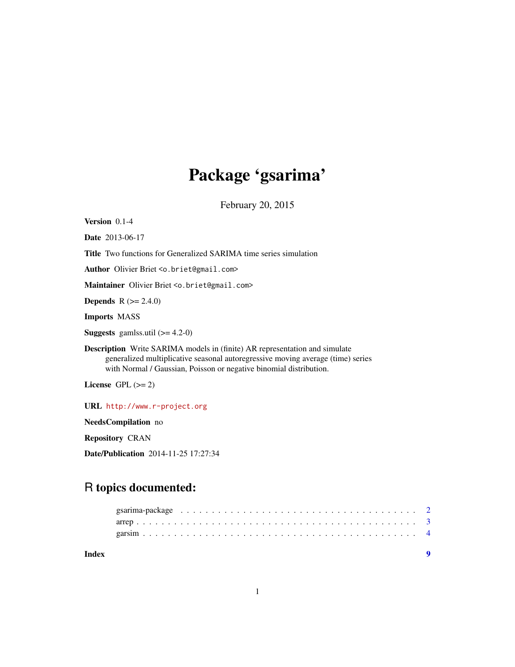## Package 'gsarima'

February 20, 2015

Version 0.1-4

Date 2013-06-17

Title Two functions for Generalized SARIMA time series simulation

Author Olivier Briet <o.briet@gmail.com>

Maintainer Olivier Briet <o.briet@gmail.com>

**Depends**  $R (= 2.4.0)$ 

Imports MASS

**Suggests** gamlss.util  $(>= 4.2-0)$ 

Description Write SARIMA models in (finite) AR representation and simulate generalized multiplicative seasonal autoregressive moving average (time) series with Normal / Gaussian, Poisson or negative binomial distribution.

License GPL  $(>= 2)$ 

URL <http://www.r-project.org>

NeedsCompilation no

Repository CRAN

Date/Publication 2014-11-25 17:27:34

### R topics documented:

| Index |  |
|-------|--|
|       |  |
|       |  |
|       |  |

1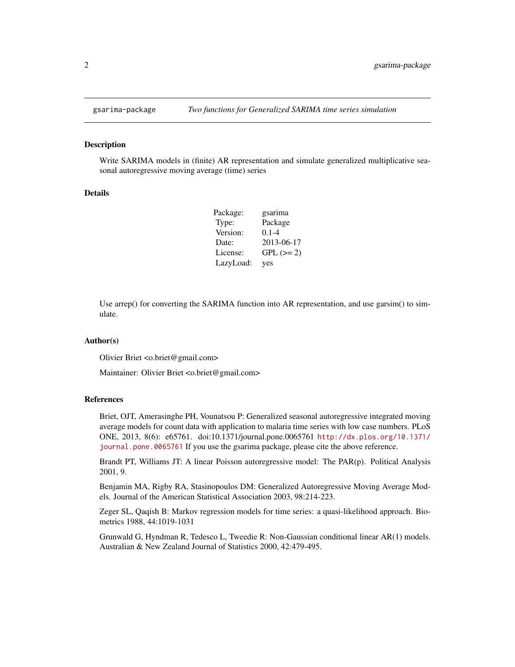<span id="page-1-0"></span>

#### Description

Write SARIMA models in (finite) AR representation and simulate generalized multiplicative seasonal autoregressive moving average (time) series

#### Details

| Package:  | gsarima    |
|-----------|------------|
| Type:     | Package    |
| Version:  | $0.1 - 4$  |
| Date:     | 2013-06-17 |
| License:  | $GPL (=2)$ |
| LazyLoad: | yes        |

Use arrep() for converting the SARIMA function into AR representation, and use garsim() to simulate.

#### Author(s)

Olivier Briet <o.briet@gmail.com>

Maintainer: Olivier Briet <o.briet@gmail.com>

#### References

Briet, OJT, Amerasinghe PH, Vounatsou P: Generalized seasonal autoregressive integrated moving average models for count data with application to malaria time series with low case numbers. PLoS ONE, 2013, 8(6): e65761. doi:10.1371/journal.pone.0065761 [http://dx.plos.org/10.1371/](http://dx.plos.org/10.1371/journal.pone.0065761) [journal.pone.0065761](http://dx.plos.org/10.1371/journal.pone.0065761) If you use the gsarima package, please cite the above reference.

Brandt PT, Williams JT: A linear Poisson autoregressive model: The PAR(p). Political Analysis 2001, 9.

Benjamin MA, Rigby RA, Stasinopoulos DM: Generalized Autoregressive Moving Average Models. Journal of the American Statistical Association 2003, 98:214-223.

Zeger SL, Qaqish B: Markov regression models for time series: a quasi-likelihood approach. Biometrics 1988, 44:1019-1031

Grunwald G, Hyndman R, Tedesco L, Tweedie R: Non-Gaussian conditional linear AR(1) models. Australian & New Zealand Journal of Statistics 2000, 42:479-495.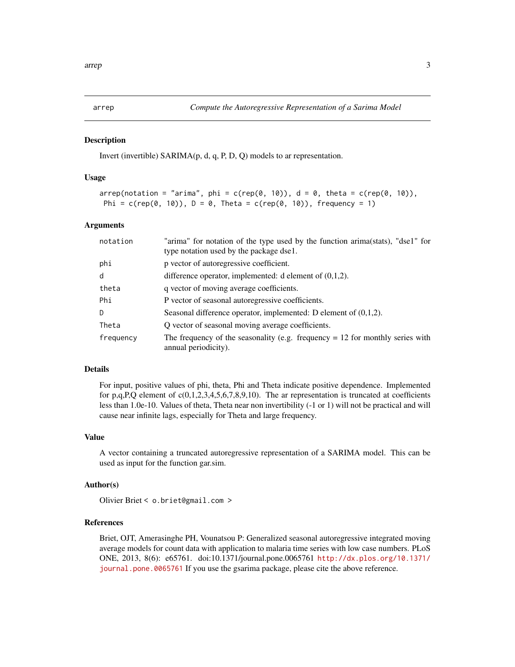<span id="page-2-0"></span>

#### **Description**

Invert (invertible) SARIMA(p, d, q, P, D, Q) models to ar representation.

#### Usage

```
arrep(notation = "arima", phi = c(rep(\theta, 1\theta)), d = \theta, theta = c(rep(\theta, 1\theta)),
 Phi = c(rep(\emptyset, 1\emptyset)), D = \emptyset, Theta = c(rep(\emptyset, 1\emptyset)), frequency = 1)
```
#### Arguments

| notation  | "arima" for notation of the type used by the function arima(stats), "dse1" for<br>type notation used by the package dse1. |
|-----------|---------------------------------------------------------------------------------------------------------------------------|
| phi       | p vector of autoregressive coefficient.                                                                                   |
| d         | difference operator, implemented: d element of $(0,1,2)$ .                                                                |
| theta     | q vector of moving average coefficients.                                                                                  |
| Phi       | P vector of seasonal autoregressive coefficients.                                                                         |
| D.        | Seasonal difference operator, implemented: D element of $(0,1,2)$ .                                                       |
| Theta     | Q vector of seasonal moving average coefficients.                                                                         |
| frequency | The frequency of the seasonality (e.g. frequency $= 12$ for monthly series with<br>annual periodicity).                   |

#### Details

For input, positive values of phi, theta, Phi and Theta indicate positive dependence. Implemented for p,q,P,Q element of  $c(0,1,2,3,4,5,6,7,8,9,10)$ . The ar representation is truncated at coefficients less than 1.0e-10. Values of theta, Theta near non invertibility (-1 or 1) will not be practical and will cause near infinite lags, especially for Theta and large frequency.

#### Value

A vector containing a truncated autoregressive representation of a SARIMA model. This can be used as input for the function gar.sim.

#### Author(s)

Olivier Briet < o.briet@gmail.com >

#### References

Briet, OJT, Amerasinghe PH, Vounatsou P: Generalized seasonal autoregressive integrated moving average models for count data with application to malaria time series with low case numbers. PLoS ONE, 2013, 8(6): e65761. doi:10.1371/journal.pone.0065761 [http://dx.plos.org/10.1371/](http://dx.plos.org/10.1371/journal.pone.0065761) [journal.pone.0065761](http://dx.plos.org/10.1371/journal.pone.0065761) If you use the gsarima package, please cite the above reference.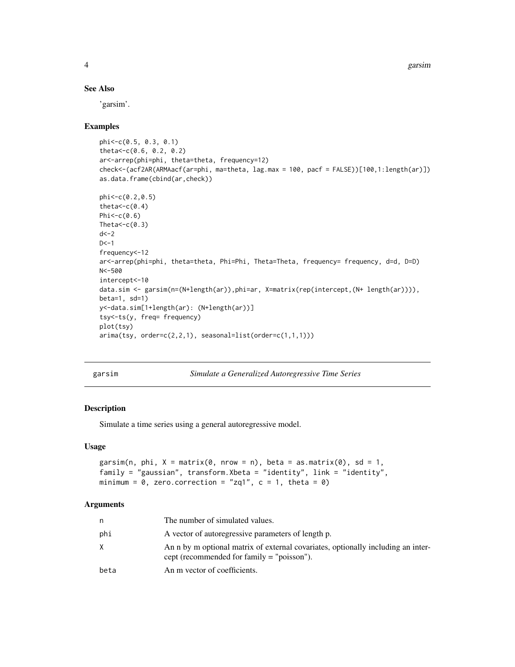4 garsim

#### See Also

'garsim'.

#### Examples

```
phi<-c(0.5, 0.3, 0.1)
theta<-c(0.6, 0.2, 0.2)
ar<-arrep(phi=phi, theta=theta, frequency=12)
check<-(acf2AR(ARMAacf(ar=phi, ma=theta, lag.max = 100, pacf = FALSE))[100,1:length(ar)])
as.data.frame(cbind(ar,check))
phi<-c(0.2,0.5)
theta<-c(0.4)Phi<-c(0.6)Theta<-c(0.3)d < -2D < -1frequency<-12
ar<-arrep(phi=phi, theta=theta, Phi=Phi, Theta=Theta, frequency= frequency, d=d, D=D)
N<-500
intercept<-10
data.sim <- garsim(n=(N+length(ar)),phi=ar, X=matrix(rep(intercept,(N+ length(ar)))),
beta=1, sd=1)
y<-data.sim[1+length(ar): (N+length(ar))]
tsy<-ts(y, freq= frequency)
plot(tsy)
\text{arima}(\text{tsy}, \text{order}=\text{c}(2,2,1), \text{sesonal}=\text{list}(\text{order}=\text{c}(1,1,1)))
```

|  | arsım |
|--|-------|
|  |       |

Simulate a Generalized Autoregressive Time Series

#### Description

Simulate a time series using a general autoregressive model.

#### Usage

```
garsim(n, phi, X = matrix(0, nrow = n), beta = as.matrix(0), sd = 1,
family = "gaussian", transform.Xbeta = "identity", link = "identity",
minimum = 0, zero.correction = "zq1", c = 1, theta = 0)
```
#### Arguments

| n    | The number of simulated values.                                                                                                  |
|------|----------------------------------------------------------------------------------------------------------------------------------|
| phi  | A vector of autoregressive parameters of length p.                                                                               |
| X    | An n by m optional matrix of external covariates, optionally including an inter-<br>cept (recommended for family $=$ "poisson"). |
| beta | An m vector of coefficients.                                                                                                     |

<span id="page-3-0"></span>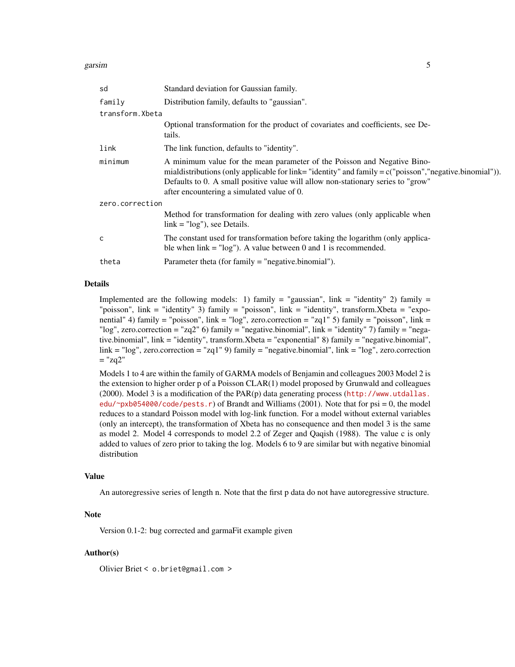| sd              | Standard deviation for Gaussian family.                                                                                                                                                                                                                                                                                  |
|-----------------|--------------------------------------------------------------------------------------------------------------------------------------------------------------------------------------------------------------------------------------------------------------------------------------------------------------------------|
| family          | Distribution family, defaults to "gaussian".                                                                                                                                                                                                                                                                             |
| transform.Xbeta |                                                                                                                                                                                                                                                                                                                          |
|                 | Optional transformation for the product of covariates and coefficients, see De-<br>tails.                                                                                                                                                                                                                                |
| link            | The link function, defaults to "identity".                                                                                                                                                                                                                                                                               |
| minimum         | A minimum value for the mean parameter of the Poisson and Negative Bino-<br>mialdistributions (only applicable for link="identity" and family = $c$ ("poisson", "negative.binomial")).<br>Defaults to 0. A small positive value will allow non-stationary series to "grow"<br>after encountering a simulated value of 0. |
| zero.correction |                                                                                                                                                                                                                                                                                                                          |
|                 | Method for transformation for dealing with zero values (only applicable when<br>$link = "log")$ , see Details.                                                                                                                                                                                                           |
| C               | The constant used for transformation before taking the logarithm (only applica-<br>ble when $link = "log")$ . A value between 0 and 1 is recommended.                                                                                                                                                                    |
| theta           | Parameter theta (for family = "negative.binomial").                                                                                                                                                                                                                                                                      |
|                 |                                                                                                                                                                                                                                                                                                                          |

#### Details

Implemented are the following models: 1) family = "gaussian", link = "identity" 2) family = "poisson", link = "identity" 3) family = "poisson", link = "identity", transform.Xbeta = "exponential" 4) family = "poisson", link = "log", zero.correction = "zq1" 5) family = "poisson", link = "log", zero.correction = "zq2" 6) family = "negative.binomial", link = "identity" 7) family = "negative.binomial", link = "identity", transform.Xbeta = "exponential" 8) family = "negative.binomial", link = "log", zero.correction = "zq1" 9) family = "negative.binomial", link = "log", zero.correction  $=$  "zq2"

Models 1 to 4 are within the family of GARMA models of Benjamin and colleagues 2003 Model 2 is the extension to higher order p of a Poisson CLAR(1) model proposed by Grunwald and colleagues (2000). Model 3 is a modification of the PAR(p) data generating process ([http://www.utdallas.](http://www.utdallas.edu/~pxb054000/code/pests.r) [edu/~pxb054000/code/pests.r](http://www.utdallas.edu/~pxb054000/code/pests.r)) of Brandt and Williams (2001). Note that for psi = 0, the model reduces to a standard Poisson model with log-link function. For a model without external variables (only an intercept), the transformation of Xbeta has no consequence and then model 3 is the same as model 2. Model 4 corresponds to model 2.2 of Zeger and Qaqish (1988). The value c is only added to values of zero prior to taking the log. Models 6 to 9 are similar but with negative binomial distribution

#### Value

An autoregressive series of length n. Note that the first p data do not have autoregressive structure.

#### Note

Version 0.1-2: bug corrected and garmaFit example given

#### Author(s)

Olivier Briet < o.briet@gmail.com >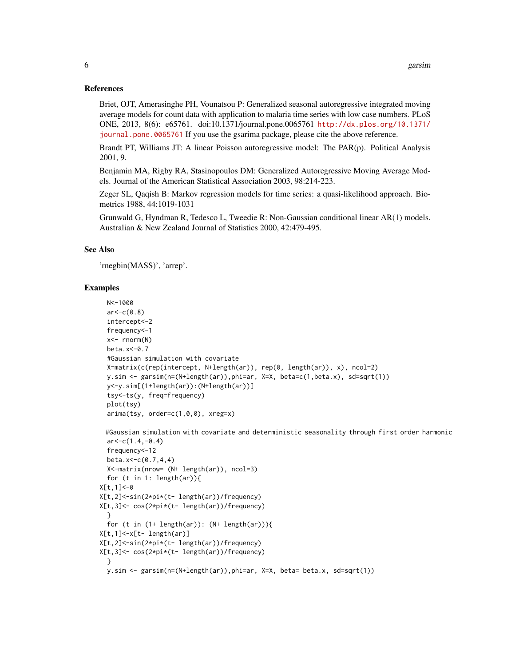#### References

Briet, OJT, Amerasinghe PH, Vounatsou P: Generalized seasonal autoregressive integrated moving average models for count data with application to malaria time series with low case numbers. PLoS ONE, 2013, 8(6): e65761. doi:10.1371/journal.pone.0065761 [http://dx.plos.org/10.1371/](http://dx.plos.org/10.1371/journal.pone.0065761) [journal.pone.0065761](http://dx.plos.org/10.1371/journal.pone.0065761) If you use the gsarima package, please cite the above reference.

Brandt PT, Williams JT: A linear Poisson autoregressive model: The PAR(p). Political Analysis 2001, 9.

Benjamin MA, Rigby RA, Stasinopoulos DM: Generalized Autoregressive Moving Average Models. Journal of the American Statistical Association 2003, 98:214-223.

Zeger SL, Qaqish B: Markov regression models for time series: a quasi-likelihood approach. Biometrics 1988, 44:1019-1031

Grunwald G, Hyndman R, Tedesco L, Tweedie R: Non-Gaussian conditional linear AR(1) models. Australian & New Zealand Journal of Statistics 2000, 42:479-495.

#### See Also

'rnegbin(MASS)', 'arrep'.

#### Examples

```
N<-1000
 ar < -c(0.8)intercept<-2
 frequency<-1
 x<- rnorm(N)
 beta.x<-0.7
 #Gaussian simulation with covariate
 X=matrix(c(rep(intercept, N+length(ar)), rep(0, length(ar)), x), ncol=2)
 y.sim <- garsim(n=(N+length(ar)),phi=ar, X=X, beta=c(1,beta.x), sd=sqrt(1))
 y<-y.sim[(1+length(ar)):(N+length(ar))]
 tsy<-ts(y, freq=frequency)
 plot(tsy)
 arima(tsy, order=c(1,0,0), xreg=x)
 #Gaussian simulation with covariate and deterministic seasonality through first order harmonic
 ar < -c(1.4, -0.4)frequency<-12
 beta.x<-c(0.7,4,4)
 X<-matrix(nrow= (N+ length(ar)), ncol=3)
 for (t in 1: length(ar)){
X[t,1]<-0
X[t,2]<-sin(2*pi*(t- length(ar))/frequency)
X[t,3]<- cos(2*pi*(t- length(ar))/frequency)
 }
 for (t in (1+ length(ar)): (N+ length(ar))){
X[t,1]<-x[t- length(ar)]
X[t,2]<-sin(2*pi*(t- length(ar))/frequency)
X[t,3]<- cos(2*pi*(t- length(ar))/frequency)
 }
 y.sim <- garsim(n=(N+length(ar)),phi=ar, X=X, beta= beta.x, sd=sqrt(1))
```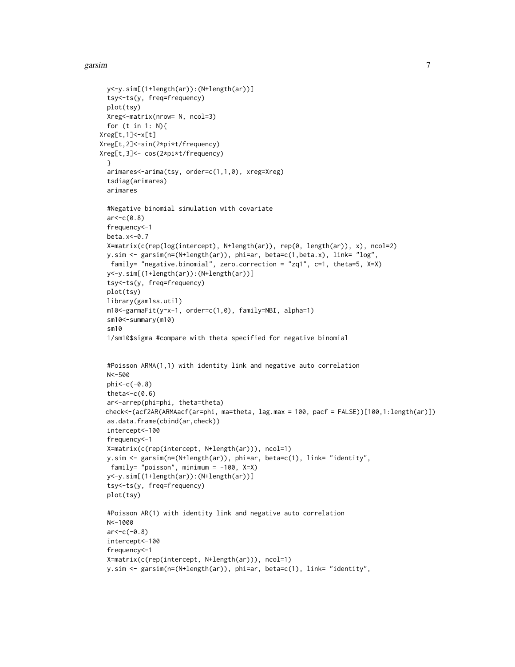#### garsim  $\sim$  7  $\sim$  7  $\sim$  7  $\sim$  7  $\sim$  7  $\sim$  7  $\sim$  7  $\sim$  7  $\sim$  7  $\sim$  7  $\sim$  7  $\sim$  7  $\sim$  7  $\sim$  7  $\sim$  7  $\sim$  7  $\sim$  7  $\sim$  7  $\sim$  7  $\sim$  7  $\sim$  7  $\sim$  7  $\sim$  7  $\sim$  7  $\sim$  7  $\sim$  7  $\sim$  7  $\sim$  7  $\sim$  7  $\sim$  7  $\sim$

```
y<-y.sim[(1+length(ar)):(N+length(ar))]
 tsy<-ts(y, freq=frequency)
 plot(tsy)
 Xreg<-matrix(nrow= N, ncol=3)
 for (t in 1: N){
Xreg[t,1]<-x[t]
Xreg[t,2]<-sin(2*pi*t/frequency)
Xreg[t,3]<- cos(2*pi*t/frequency)
 }
 arimares<-arima(tsy, order=c(1,1,0), xreg=Xreg)
 tsdiag(arimares)
 arimares
 #Negative binomial simulation with covariate
 ar < -c(0.8)frequency<-1
 beta.x<-0.7
 X=matrix(c(rep(log(intercept), N+length(ar)), rep(0, length(ar)), x), ncol=2)
 y.sim <- garsim(n=(N+length(ar)), phi=ar, beta=c(1,beta.x), link= "log",
  family= "negative.binomial", zero.correction = "zq1", c=1, theta=5, X=X)
 y<-y.sim[(1+length(ar)):(N+length(ar))]
 tsy<-ts(y, freq=frequency)
 plot(tsy)
 library(gamlss.util)
 m10<-garmaFit(y~x-1, order=c(1,0), family=NBI, alpha=1)
 sm10<-summary(m10)
  sm10
 1/sm10$sigma #compare with theta specified for negative binomial
 #Poisson ARMA(1,1) with identity link and negative auto correlation
 N<-500
 phi<-c(-0.8)
 theta<-c(0.6)ar<-arrep(phi=phi, theta=theta)
 check<-(acf2AR(ARMAacf(ar=phi, ma=theta, lag.max = 100, pacf = FALSE))[100,1:length(ar)])
 as.data.frame(cbind(ar,check))
 intercept<-100
 frequency<-1
 X=matrix(c(rep(intercept, N+length(ar))), ncol=1)
 y.sim <- garsim(n=(N+length(ar)), phi=ar, beta=c(1), link= "identity",
  family= "poisson", minimum = -100, X=X)
 y<-y.sim[(1+length(ar)):(N+length(ar))]
 tsy<-ts(y, freq=frequency)
 plot(tsy)
 #Poisson AR(1) with identity link and negative auto correlation
 N<-1000
 ar < -c(-0.8)intercept<-100
 frequency<-1
 X=matrix(c(rep(intercept, N+length(ar))), ncol=1)
 y.sim <- garsim(n=(N+length(ar)), phi=ar, beta=c(1), link= "identity",
```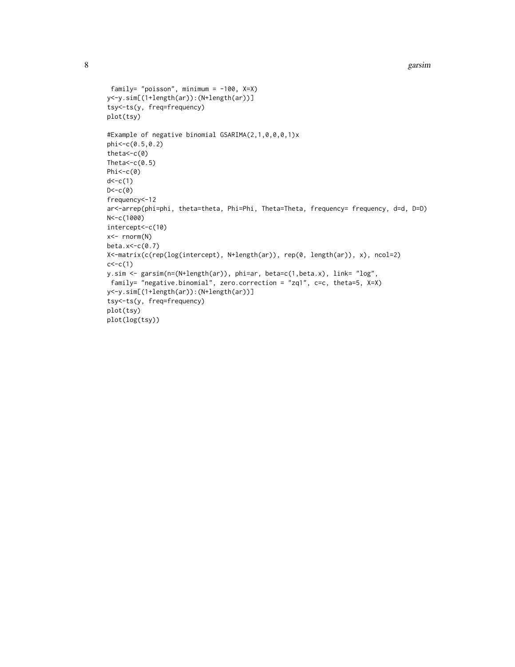```
8 garsim and the set of the set of the set of the set of the set of the set of the set of the set of the set of the set of the set of the set of the set of the set of the set of the set of the set of the set of the set of
```

```
family= "poisson", minimum = -100, X=X)
y<-y.sim[(1+length(ar)):(N+length(ar))]
tsy<-ts(y, freq=frequency)
plot(tsy)
#Example of negative binomial GSARIMA(2,1,0,0,0,1)x
phi<-c(0.5,0.2)
theta<-c(0)
Theta<-c(0.5)Phi<-c(0)d < -c(1)D < -c(0)frequency<-12
ar<-arrep(phi=phi, theta=theta, Phi=Phi, Theta=Theta, frequency= frequency, d=d, D=D)
N<-c(1000)
intercept<-c(10)
x<- rnorm(N)
beta.x<-c(0.7)
X<-matrix(c(rep(log(intercept), N+length(ar)), rep(0, length(ar)), x), ncol=2)
c < -c(1)y.sim <- garsim(n=(N+length(ar)), phi=ar, beta=c(1,beta.x), link= "log",
family= "negative.binomial", zero.correction = "zq1", c=c, theta=5, X=X)
y<-y.sim[(1+length(ar)):(N+length(ar))]
tsy<-ts(y, freq=frequency)
plot(tsy)
plot(log(tsy))
```